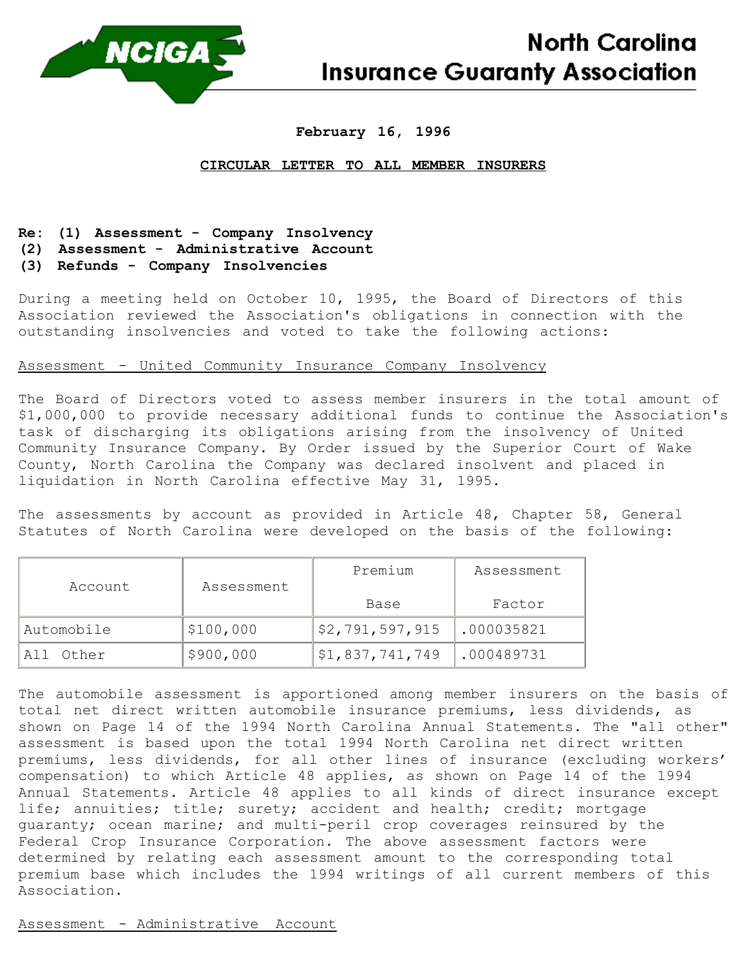

# **February 16, 1996**

### **CIRCULAR LETTER TO ALL MEMBER INSURERS**

# **Re: (1) Assessment - Company Insolvency**

**(2) Assessment - Administrative Account**

# **(3) Refunds - Company Insolvencies**

During a meeting held on October 10, 1995, the Board of Directors of this Association reviewed the Association's obligations in connection with the outstanding insolvencies and voted to take the following actions:

# Assessment - United Community Insurance Company Insolvency

The Board of Directors voted to assess member insurers in the total amount of \$1,000,000 to provide necessary additional funds to continue the Association's task of discharging its obligations arising from the insolvency of United Community Insurance Company. By Order issued by the Superior Court of Wake County, North Carolina the Company was declared insolvent and placed in liquidation in North Carolina effective May 31, 1995.

The assessments by account as provided in Article 48, Chapter 58, General Statutes of North Carolina were developed on the basis of the following:

| Account        | Assessment | Premium         | Assessment |
|----------------|------------|-----------------|------------|
|                |            | Base            | Factor     |
| Automobile     | \$100,000  | \$2,791,597,915 | .000035821 |
| Other<br>A I I | \$900,000  | \$1,837,741,749 | .000489731 |

The automobile assessment is apportioned among member insurers on the basis of total net direct written automobile insurance premiums, less dividends, as shown on Page 14 of the 1994 North Carolina Annual Statements. The "all other" assessment is based upon the total 1994 North Carolina net direct written premiums, less dividends, for all other lines of insurance (excluding workers' compensation) to which Article 48 applies, as shown on Page 14 of the 1994 Annual Statements. Article 48 applies to all kinds of direct insurance except life; annuities; title; surety; accident and health; credit; mortgage guaranty; ocean marine; and multi-peril crop coverages reinsured by the Federal Crop Insurance Corporation. The above assessment factors were determined by relating each assessment amount to the corresponding total premium base which includes the 1994 writings of all current members of this Association.

Assessment - Administrative Account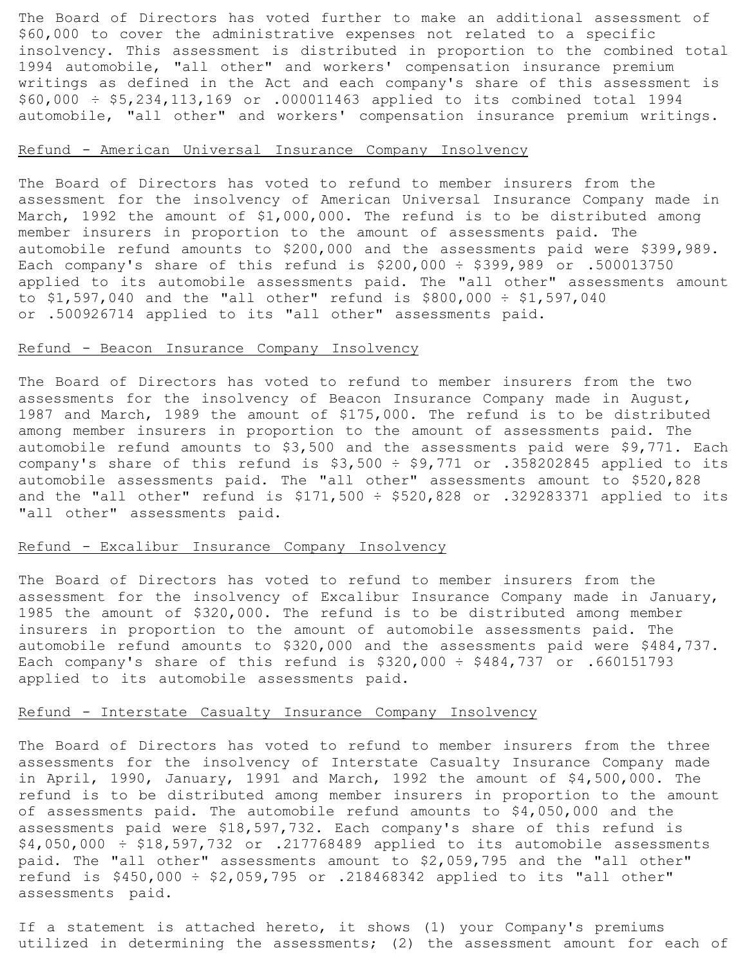The Board of Directors has voted further to make an additional assessment of \$60,000 to cover the administrative expenses not related to a specific insolvency. This assessment is distributed in proportion to the combined total 1994 automobile, "all other" and workers' compensation insurance premium writings as defined in the Act and each company's share of this assessment is \$60,000 ÷ \$5,234,113,169 or .000011463 applied to its combined total 1994 automobile, "all other" and workers' compensation insurance premium writings.

# Refund - American Universal Insurance Company Insolvency

The Board of Directors has voted to refund to member insurers from the assessment for the insolvency of American Universal Insurance Company made in March, 1992 the amount of \$1,000,000. The refund is to be distributed among member insurers in proportion to the amount of assessments paid. The automobile refund amounts to \$200,000 and the assessments paid were \$399,989. Each company's share of this refund is \$200,000 ÷ \$399,989 or .500013750 applied to its automobile assessments paid. The "all other" assessments amount to  $$1,597,040$  and the "all other" refund is  $$800,000 \div $1,597,040$ or .500926714 applied to its "all other" assessments paid.

#### Refund - Beacon Insurance Company Insolvency

The Board of Directors has voted to refund to member insurers from the two assessments for the insolvency of Beacon Insurance Company made in August, 1987 and March, 1989 the amount of \$175,000. The refund is to be distributed among member insurers in proportion to the amount of assessments paid. The automobile refund amounts to \$3,500 and the assessments paid were \$9,771. Each company's share of this refund is  $$3,500 \div $9,771$  or .358202845 applied to its automobile assessments paid. The "all other" assessments amount to \$520,828 and the "all other" refund is  $$171,500 \div $520,828$  or .329283371 applied to its "all other" assessments paid.

### Refund - Excalibur Insurance Company Insolvency

The Board of Directors has voted to refund to member insurers from the assessment for the insolvency of Excalibur Insurance Company made in January, 1985 the amount of \$320,000. The refund is to be distributed among member insurers in proportion to the amount of automobile assessments paid. The automobile refund amounts to \$320,000 and the assessments paid were \$484,737. Each company's share of this refund is  $$320,000 \div $484,737$  or .660151793 applied to its automobile assessments paid.

### Refund - Interstate Casualty Insurance Company Insolvency

The Board of Directors has voted to refund to member insurers from the three assessments for the insolvency of Interstate Casualty Insurance Company made in April, 1990, January, 1991 and March, 1992 the amount of \$4,500,000. The refund is to be distributed among member insurers in proportion to the amount of assessments paid. The automobile refund amounts to \$4,050,000 and the assessments paid were \$18,597,732. Each company's share of this refund is  $$4,050,000 \div $18,597,732$  or .217768489 applied to its automobile assessments paid. The "all other" assessments amount to \$2,059,795 and the "all other" refund is \$450,000 ÷ \$2,059,795 or .218468342 applied to its "all other" assessments paid.

If a statement is attached hereto, it shows (1) your Company's premiums utilized in determining the assessments; (2) the assessment amount for each of